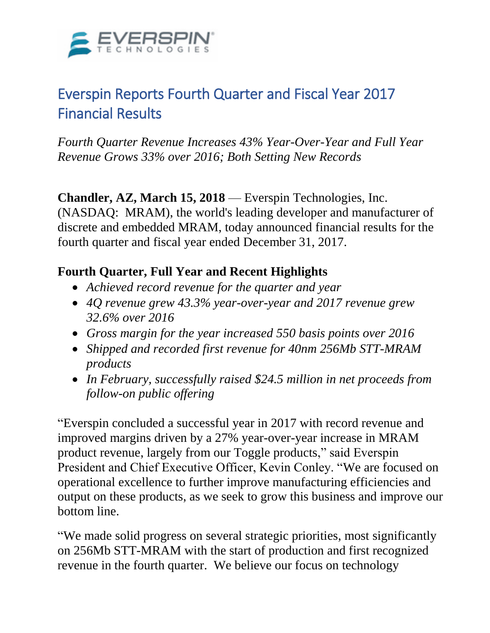

# Everspin Reports Fourth Quarter and Fiscal Year 2017 Financial Results

*Fourth Quarter Revenue Increases 43% Year-Over-Year and Full Year Revenue Grows 33% over 2016; Both Setting New Records*

**Chandler, AZ, March 15, 2018** — Everspin Technologies, Inc.

(NASDAQ: MRAM), the world's leading developer and manufacturer of discrete and embedded MRAM, today announced financial results for the fourth quarter and fiscal year ended December 31, 2017.

# **Fourth Quarter, Full Year and Recent Highlights**

- *Achieved record revenue for the quarter and year*
- *4Q revenue grew 43.3% year-over-year and 2017 revenue grew 32.6% over 2016*
- *Gross margin for the year increased 550 basis points over 2016*
- *Shipped and recorded first revenue for 40nm 256Mb STT-MRAM products*
- *In February, successfully raised \$24.5 million in net proceeds from follow-on public offering*

"Everspin concluded a successful year in 2017 with record revenue and improved margins driven by a 27% year-over-year increase in MRAM product revenue, largely from our Toggle products," said Everspin President and Chief Executive Officer, Kevin Conley. "We are focused on operational excellence to further improve manufacturing efficiencies and output on these products, as we seek to grow this business and improve our bottom line.

"We made solid progress on several strategic priorities, most significantly on 256Mb STT-MRAM with the start of production and first recognized revenue in the fourth quarter. We believe our focus on technology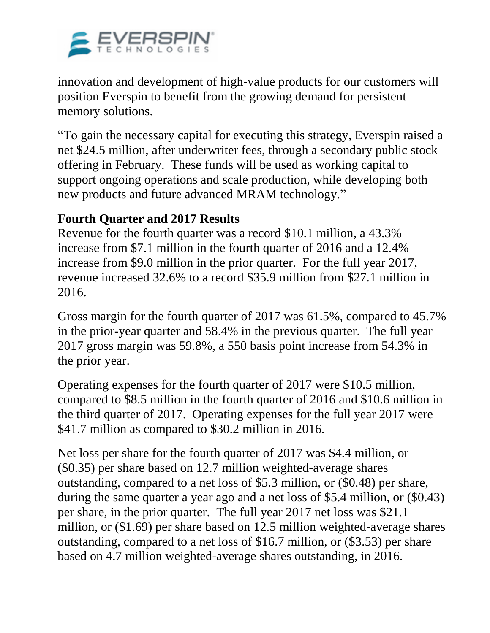

innovation and development of high-value products for our customers will position Everspin to benefit from the growing demand for persistent memory solutions.

"To gain the necessary capital for executing this strategy, Everspin raised a net \$24.5 million, after underwriter fees, through a secondary public stock offering in February. These funds will be used as working capital to support ongoing operations and scale production, while developing both new products and future advanced MRAM technology."

# **Fourth Quarter and 2017 Results**

Revenue for the fourth quarter was a record \$10.1 million, a 43.3% increase from \$7.1 million in the fourth quarter of 2016 and a 12.4% increase from \$9.0 million in the prior quarter. For the full year 2017, revenue increased 32.6% to a record \$35.9 million from \$27.1 million in 2016.

Gross margin for the fourth quarter of 2017 was 61.5%, compared to 45.7% in the prior-year quarter and 58.4% in the previous quarter. The full year 2017 gross margin was 59.8%, a 550 basis point increase from 54.3% in the prior year.

Operating expenses for the fourth quarter of 2017 were \$10.5 million, compared to \$8.5 million in the fourth quarter of 2016 and \$10.6 million in the third quarter of 2017. Operating expenses for the full year 2017 were \$41.7 million as compared to \$30.2 million in 2016.

Net loss per share for the fourth quarter of 2017 was \$4.4 million, or (\$0.35) per share based on 12.7 million weighted-average shares outstanding, compared to a net loss of \$5.3 million, or (\$0.48) per share, during the same quarter a year ago and a net loss of \$5.4 million, or (\$0.43) per share, in the prior quarter. The full year 2017 net loss was \$21.1 million, or (\$1.69) per share based on 12.5 million weighted-average shares outstanding, compared to a net loss of \$16.7 million, or (\$3.53) per share based on 4.7 million weighted-average shares outstanding, in 2016.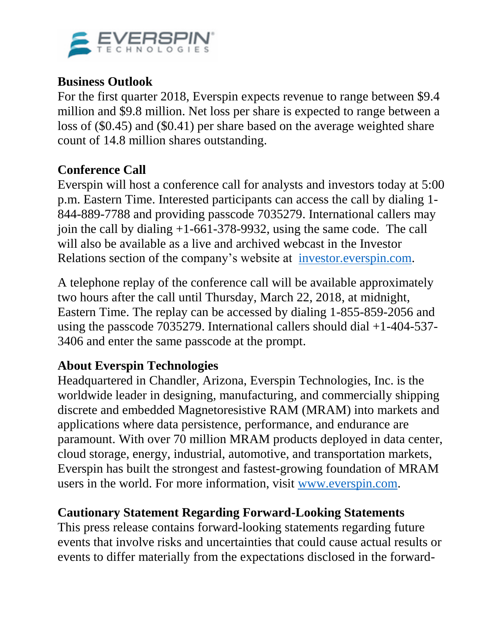

### **Business Outlook**

For the first quarter 2018, Everspin expects revenue to range between \$9.4 million and \$9.8 million. Net loss per share is expected to range between a loss of (\$0.45) and (\$0.41) per share based on the average weighted share count of 14.8 million shares outstanding.

# **Conference Call**

Everspin will host a conference call for analysts and investors today at 5:00 p.m. Eastern Time. Interested participants can access the call by dialing 1- 844-889-7788 and providing passcode 7035279. International callers may join the call by dialing +1-661-378-9932, using the same code. The call will also be available as a live and archived webcast in the Investor Relations section of the company's website at [investor.everspin.com.](https://www.globenewswire.com/Tracker?data=Yslc05KKXn_FmUYl36klSjgjxc3kXl8-_nFy37vxurQuaaFvgVt3yjkYUn5sW--3khZoRB_N8Jf1p7bqwXbXbxLqujuhKgAwhO_cglugVb9pWqn4BIeoTVFb0aP4qrpMvBpYc4-GhtfBmGjMlCjE85OPNQ3Q6I9v8a6BYlOTp4J5VpydCDV6JD0Ryvsy3_Ne687-cDMg1DFHWY6MFvcK2Quy0M-gho88pdecRHG9casEZs8IjU0XDwj-pynU9fyZ6L6BBcJqLI65defz5tM3Kx20hBH7n2MnQEm5gBp37wvTaESs_bGS5RuoXa4VrwZROyl68Hw51O_o-tlwTtwNW24WrYNZCrIaqNKuwUQ7yDBHpXE0_13B4vInpe_WY_Wv96gwk5BoNpgKzEkpS6HMbMpe6H60d1a726nWLQJRtNNy448WT1lmakPD1-0avdFfEeuA346UgTmP7cjErDse6iFljbuK_hPF7W49J2X461V7iLx9D2XyZgvfsdy2V-Hf)

A telephone replay of the conference call will be available approximately two hours after the call until Thursday, March 22, 2018, at midnight, Eastern Time. The replay can be accessed by dialing 1-855-859-2056 and using the passcode 7035279. International callers should dial +1-404-537- 3406 and enter the same passcode at the prompt.

# **About Everspin Technologies**

Headquartered in Chandler, Arizona, Everspin Technologies, Inc. is the worldwide leader in designing, manufacturing, and commercially shipping discrete and embedded Magnetoresistive RAM (MRAM) into markets and applications where data persistence, performance, and endurance are paramount. With over 70 million MRAM products deployed in data center, cloud storage, energy, industrial, automotive, and transportation markets, Everspin has built the strongest and fastest-growing foundation of MRAM users in the world. For more information, visit [www.everspin.com.](https://www.globenewswire.com/Tracker?data=3cq9OXBXEUFeXcdKqv9XwLM1mOWI9ebBq4LDI_kg9EOfdSREdsqN_qReoXD-VydFjS6qjVIOI2oYRWJlsBEn7w==)

### **Cautionary Statement Regarding Forward-Looking Statements**

This press release contains forward-looking statements regarding future events that involve risks and uncertainties that could cause actual results or events to differ materially from the expectations disclosed in the forward-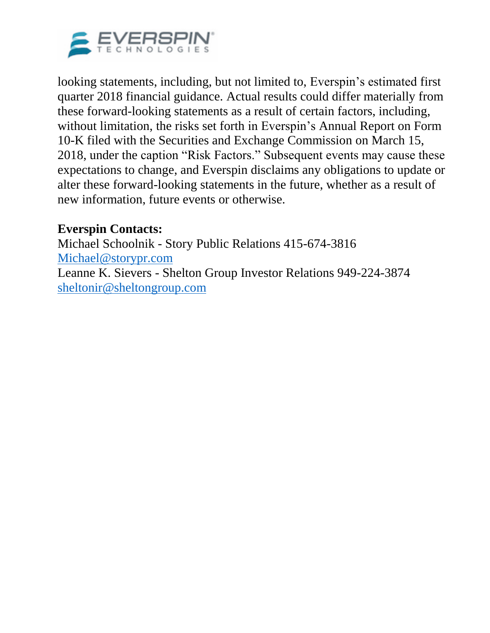

looking statements, including, but not limited to, Everspin's estimated first quarter 2018 financial guidance. Actual results could differ materially from these forward-looking statements as a result of certain factors, including, without limitation, the risks set forth in Everspin's Annual Report on Form 10-K filed with the Securities and Exchange Commission on March 15, 2018, under the caption "Risk Factors." Subsequent events may cause these expectations to change, and Everspin disclaims any obligations to update or alter these forward-looking statements in the future, whether as a result of new information, future events or otherwise.

# **Everspin Contacts:**

Michael Schoolnik - Story Public Relations 415-674-3816 [Michael@storypr.com](https://www.globenewswire.com/Tracker?data=eydoVOh1E7gAV3BV16_WYPtrVyU9VEnIHZbJZEs5zgGPXe62dGi6SBfei0Q1l6A3vIrbuhD8igOpTLqZfG1sJuEclEBiyBMB1-lR5FL_rqo=) Leanne K. Sievers - Shelton Group Investor Relations 949-224-3874 [sheltonir@sheltongroup.com](mailto:sheltonir@sheltongroup.com)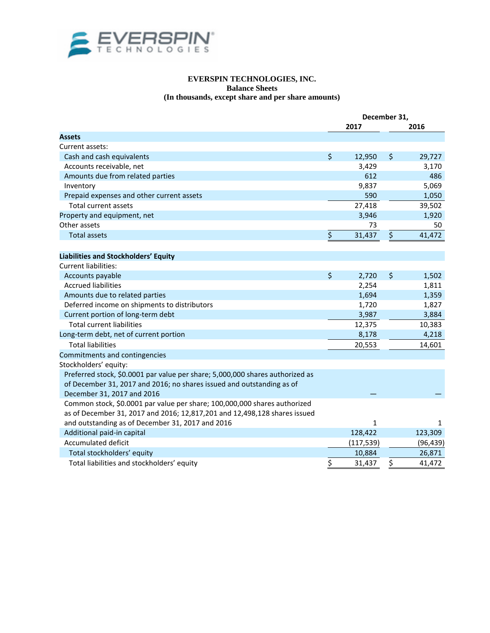

### **EVERSPIN TECHNOLOGIES, INC. Balance Sheets (In thousands, except share and per share amounts)**

|                                                                               | December 31, |            |    |           |  |
|-------------------------------------------------------------------------------|--------------|------------|----|-----------|--|
|                                                                               |              | 2017       |    | 2016      |  |
| <b>Assets</b>                                                                 |              |            |    |           |  |
| Current assets:                                                               |              |            |    |           |  |
| Cash and cash equivalents                                                     | \$           | 12,950     | \$ | 29,727    |  |
| Accounts receivable, net                                                      |              | 3,429      |    | 3,170     |  |
| Amounts due from related parties                                              |              | 612        |    | 486       |  |
| Inventory                                                                     |              | 9,837      |    | 5,069     |  |
| Prepaid expenses and other current assets                                     |              | 590        |    | 1,050     |  |
| Total current assets                                                          |              | 27,418     |    | 39,502    |  |
| Property and equipment, net                                                   |              | 3,946      |    | 1,920     |  |
| Other assets                                                                  |              | 73         |    | 50        |  |
| <b>Total assets</b>                                                           | \$           | 31,437     | \$ | 41,472    |  |
|                                                                               |              |            |    |           |  |
| Liabilities and Stockholders' Equity                                          |              |            |    |           |  |
| Current liabilities:                                                          |              |            |    |           |  |
| Accounts payable                                                              | \$           | 2,720      | \$ | 1,502     |  |
| <b>Accrued liabilities</b>                                                    |              | 2,254      |    | 1,811     |  |
| Amounts due to related parties                                                |              | 1,694      |    | 1,359     |  |
| Deferred income on shipments to distributors                                  |              | 1,720      |    | 1,827     |  |
| Current portion of long-term debt                                             |              | 3,987      |    | 3,884     |  |
| <b>Total current liabilities</b>                                              |              | 12,375     |    | 10,383    |  |
| Long-term debt, net of current portion                                        |              | 8,178      |    | 4,218     |  |
| <b>Total liabilities</b>                                                      |              | 20,553     |    | 14,601    |  |
| Commitments and contingencies                                                 |              |            |    |           |  |
| Stockholders' equity:                                                         |              |            |    |           |  |
| Preferred stock, \$0.0001 par value per share; 5,000,000 shares authorized as |              |            |    |           |  |
| of December 31, 2017 and 2016; no shares issued and outstanding as of         |              |            |    |           |  |
| December 31, 2017 and 2016                                                    |              |            |    |           |  |
| Common stock, \$0.0001 par value per share; 100,000,000 shares authorized     |              |            |    |           |  |
| as of December 31, 2017 and 2016; 12,817,201 and 12,498,128 shares issued     |              |            |    |           |  |
| and outstanding as of December 31, 2017 and 2016                              |              | 1          |    | 1         |  |
| Additional paid-in capital                                                    |              | 128,422    |    | 123,309   |  |
| <b>Accumulated deficit</b>                                                    |              | (117, 539) |    | (96, 439) |  |
| Total stockholders' equity                                                    |              | 10,884     |    | 26,871    |  |
| Total liabilities and stockholders' equity                                    | \$           | 31,437     | \$ | 41,472    |  |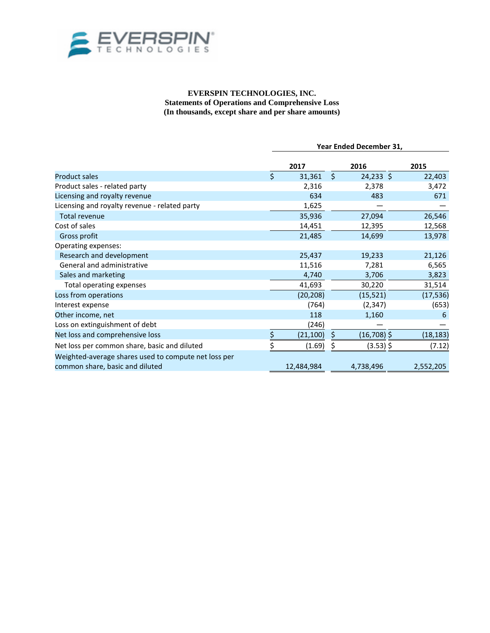

#### **EVERSPIN TECHNOLOGIES, INC. Statements of Operations and Comprehensive Loss (In thousands, except share and per share amounts)**

|                                                                                         |    | Year Ended December 31, |    |               |           |  |  |
|-----------------------------------------------------------------------------------------|----|-------------------------|----|---------------|-----------|--|--|
|                                                                                         |    | 2017                    |    | 2016          | 2015      |  |  |
| <b>Product sales</b>                                                                    | \$ | 31,361                  | \$ | $24,233$ \$   | 22,403    |  |  |
| Product sales - related party                                                           |    | 2,316                   |    | 2,378         | 3,472     |  |  |
| Licensing and royalty revenue                                                           |    | 634                     |    | 483           | 671       |  |  |
| Licensing and royalty revenue - related party                                           |    | 1,625                   |    |               |           |  |  |
| <b>Total revenue</b>                                                                    |    | 35,936                  |    | 27,094        | 26,546    |  |  |
| Cost of sales                                                                           |    | 14,451                  |    | 12,395        | 12,568    |  |  |
| Gross profit                                                                            |    | 21,485                  |    | 14,699        | 13,978    |  |  |
| Operating expenses:                                                                     |    |                         |    |               |           |  |  |
| Research and development                                                                |    | 25,437                  |    | 19,233        | 21,126    |  |  |
| General and administrative                                                              |    | 11,516                  |    | 7,281         | 6,565     |  |  |
| Sales and marketing                                                                     |    | 4,740                   |    | 3,706         | 3,823     |  |  |
| Total operating expenses                                                                |    | 41,693                  |    | 30,220        | 31,514    |  |  |
| Loss from operations                                                                    |    | (20, 208)               |    | (15, 521)     | (17, 536) |  |  |
| Interest expense                                                                        |    | (764)                   |    | (2, 347)      | (653)     |  |  |
| Other income, net                                                                       |    | 118                     |    | 1,160         | 6         |  |  |
| Loss on extinguishment of debt                                                          |    | (246)                   |    |               |           |  |  |
| Net loss and comprehensive loss                                                         |    | (21, 100)               |    | $(16,708)$ \$ | (18, 183) |  |  |
| Net loss per common share, basic and diluted                                            |    | (1.69)                  |    | $(3.53)$ \$   | (7.12)    |  |  |
| Weighted-average shares used to compute net loss per<br>common share, basic and diluted |    | 12,484,984              |    | 4,738,496     | 2,552,205 |  |  |